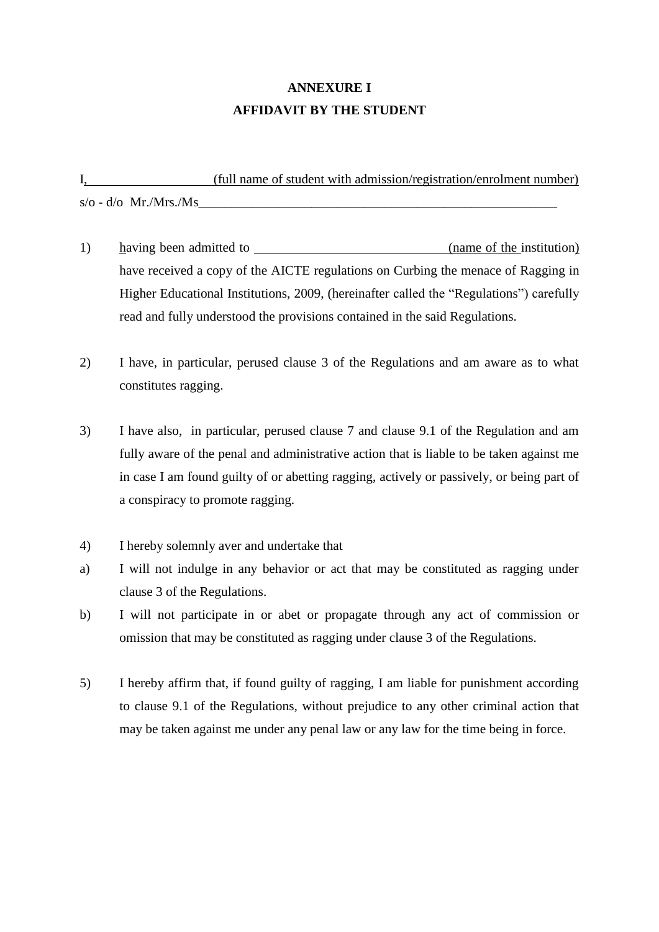## **ANNEXURE I AFFIDAVIT BY THE STUDENT**

I, (full name of student with admission/registration/enrolment number)  $s/\mathrm{o}$  - d/ $\mathrm{o}$  Mr./Mrs./Ms

- 1) having been admitted to (name of the institution) have received a copy of the AICTE regulations on Curbing the menace of Ragging in Higher Educational Institutions, 2009, (hereinafter called the "Regulations") carefully read and fully understood the provisions contained in the said Regulations.
- 2) I have, in particular, perused clause 3 of the Regulations and am aware as to what constitutes ragging.
- 3) I have also, in particular, perused clause 7 and clause 9.1 of the Regulation and am fully aware of the penal and administrative action that is liable to be taken against me in case I am found guilty of or abetting ragging, actively or passively, or being part of a conspiracy to promote ragging.
- 4) I hereby solemnly aver and undertake that
- a) I will not indulge in any behavior or act that may be constituted as ragging under clause 3 of the Regulations.
- b) I will not participate in or abet or propagate through any act of commission or omission that may be constituted as ragging under clause 3 of the Regulations.
- 5) I hereby affirm that, if found guilty of ragging, I am liable for punishment according to clause 9.1 of the Regulations, without prejudice to any other criminal action that may be taken against me under any penal law or any law for the time being in force.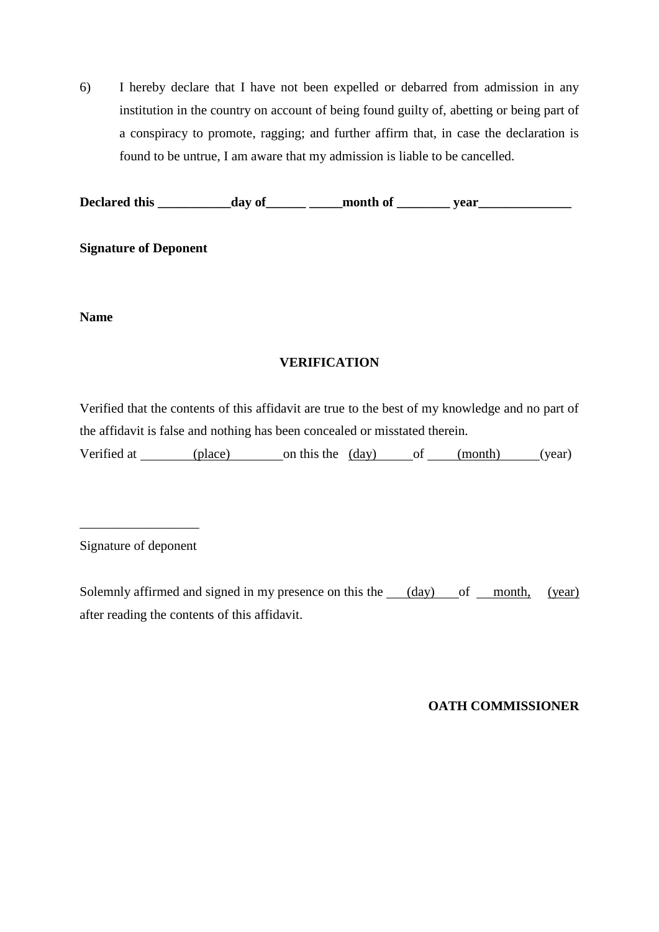6) I hereby declare that I have not been expelled or debarred from admission in any institution in the country on account of being found guilty of, abetting or being part of a conspiracy to promote, ragging; and further affirm that, in case the declaration is found to be untrue, I am aware that my admission is liable to be cancelled.

Declared this \_\_\_\_\_\_\_\_\_\_ day of \_\_\_\_\_\_\_ month of \_\_\_\_\_\_\_ year \_\_\_\_\_\_\_\_\_\_\_\_\_\_\_\_\_\_\_

**Signature of Deponent**

**Name**

### **VERIFICATION**

Verified that the contents of this affidavit are true to the best of my knowledge and no part of the affidavit is false and nothing has been concealed or misstated therein.

Verified at (place) on this the (day) of (month) (year)

\_\_\_\_\_\_\_\_\_\_\_\_\_\_\_\_\_\_ Signature of deponent

Solemnly affirmed and signed in my presence on this the  $\_\_$  (day) of  $\_\_$  month, (year) after reading the contents of this affidavit.

### **OATH COMMISSIONER**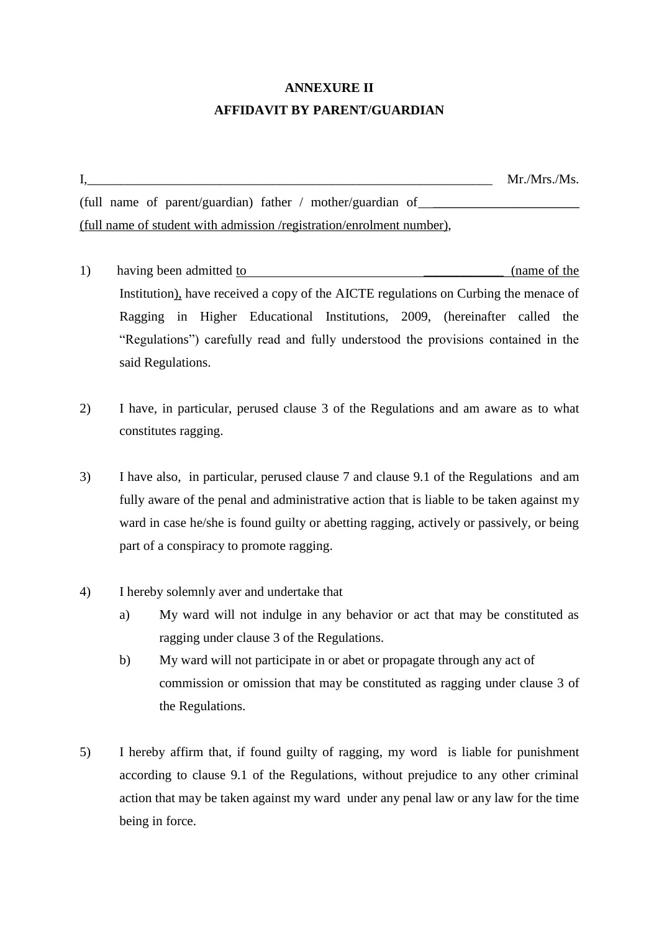# **ANNEXURE II AFFIDAVIT BY PARENT/GUARDIAN**

I*,\_\_\_\_\_\_\_\_\_\_\_\_\_\_\_\_\_\_\_\_\_\_\_\_\_\_\_\_\_\_\_\_\_\_\_\_\_\_\_\_\_\_\_\_\_\_\_\_\_\_\_\_\_\_\_\_\_\_\_\_\_* Mr./Mrs./Ms. (full name of parent/guardian) father / mother/guardian of (full name of student with admission /registration/enrolment number),

- 1) having been admitted to  $\qquad \qquad$  (name of the Institution), have received a copy of the AICTE regulations on Curbing the menace of Ragging in Higher Educational Institutions, 2009, (hereinafter called the "Regulations") carefully read and fully understood the provisions contained in the said Regulations.
- 2) I have, in particular, perused clause 3 of the Regulations and am aware as to what constitutes ragging.
- 3) I have also, in particular, perused clause 7 and clause 9.1 of the Regulations and am fully aware of the penal and administrative action that is liable to be taken against my ward in case he/she is found guilty or abetting ragging, actively or passively, or being part of a conspiracy to promote ragging.
- 4) I hereby solemnly aver and undertake that
	- a) My ward will not indulge in any behavior or act that may be constituted as ragging under clause 3 of the Regulations.
	- b) My ward will not participate in or abet or propagate through any act of commission or omission that may be constituted as ragging under clause 3 of the Regulations.
- 5) I hereby affirm that, if found guilty of ragging, my word is liable for punishment according to clause 9.1 of the Regulations, without prejudice to any other criminal action that may be taken against my ward under any penal law or any law for the time being in force.